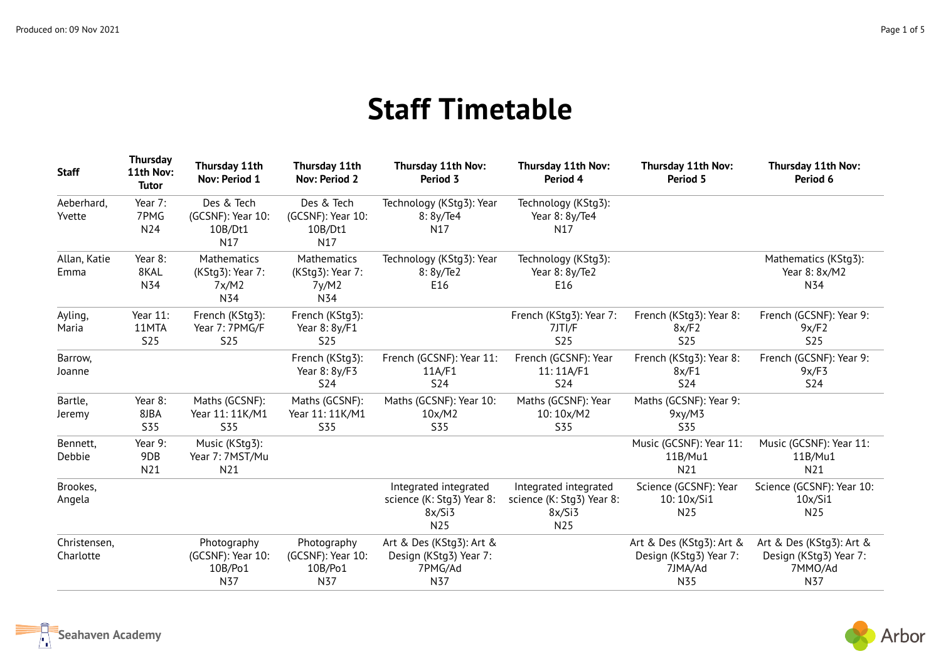## **Staff Timetable**

| <b>Staff</b>              | <b>Thursday</b><br>11th Nov:<br><b>Tutor</b> | Thursday 11th<br>Nov: Period 1                         | Thursday 11th<br><b>Nov: Period 2</b>                  | Thursday 11th Nov:<br>Period 3                                       | Thursday 11th Nov:<br>Period 4                                      | Thursday 11th Nov:<br>Period 5                                       | Thursday 11th Nov:<br>Period 6                                       |
|---------------------------|----------------------------------------------|--------------------------------------------------------|--------------------------------------------------------|----------------------------------------------------------------------|---------------------------------------------------------------------|----------------------------------------------------------------------|----------------------------------------------------------------------|
| Aeberhard,<br>Yvette      | Year 7:<br>7PMG<br>N24                       | Des & Tech<br>(GCSNF): Year 10:<br>10B/Dt1<br>N17      | Des & Tech<br>(GCSNF): Year 10:<br>10B/Dt1<br>N17      | Technology (KStg3): Year<br>8: 8y/Te4<br>N17                         | Technology (KStg3):<br>Year 8: 8y/Te4<br>N17                        |                                                                      |                                                                      |
| Allan, Katie<br>Emma      | Year 8:<br>8KAL<br>N34                       | <b>Mathematics</b><br>(KStg3): Year 7:<br>7x/M2<br>N34 | <b>Mathematics</b><br>(KStg3): Year 7:<br>7y/M2<br>N34 | Technology (KStg3): Year<br>8:8y/Te2<br>E16                          | Technology (KStg3):<br>Year 8: 8y/Te2<br>E16                        |                                                                      | Mathematics (KStq3):<br>Year 8: 8x/M2<br>N34                         |
| Ayling,<br>Maria          | Year 11:<br>11MTA<br><b>S25</b>              | French (KStg3):<br>Year 7: 7PMG/F<br><b>S25</b>        | French (KStg3):<br>Year 8: 8y/F1<br><b>S25</b>         |                                                                      | French (KStg3): Year 7:<br>7JTI/F<br><b>S25</b>                     | French (KStg3): Year 8:<br>8x/F2<br><b>S25</b>                       | French (GCSNF): Year 9:<br>9x/F2<br><b>S25</b>                       |
| Barrow,<br>Joanne         |                                              |                                                        | French (KStg3):<br>Year 8: 8y/F3<br><b>S24</b>         | French (GCSNF): Year 11:<br>11A/F1<br><b>S24</b>                     | French (GCSNF): Year<br>11:11A/F1<br><b>S24</b>                     | French (KStg3): Year 8:<br>8x/F1<br><b>S24</b>                       | French (GCSNF): Year 9:<br>9x/F3<br><b>S24</b>                       |
| Bartle,<br>Jeremy         | Year 8:<br>8JBA<br><b>S35</b>                | Maths (GCSNF):<br>Year 11: 11K/M1<br><b>S35</b>        | Maths (GCSNF):<br>Year 11: 11K/M1<br><b>S35</b>        | Maths (GCSNF): Year 10:<br>10x/M2<br>S35                             | Maths (GCSNF): Year<br>10:10x/M2<br>S35                             | Maths (GCSNF): Year 9:<br>9xy/M3<br><b>S35</b>                       |                                                                      |
| Bennett,<br>Debbie        | Year 9:<br>9DB<br>N21                        | Music (KStg3):<br>Year 7: 7MST/Mu<br>N21               |                                                        |                                                                      |                                                                     | Music (GCSNF): Year 11:<br>11B/Mu1<br>N21                            | Music (GCSNF): Year 11:<br>11B/Mu1<br>N21                            |
| Brookes,<br>Angela        |                                              |                                                        |                                                        | Integrated integrated<br>science (K: Stg3) Year 8:<br>8x/Si3<br>N25  | Integrated integrated<br>science (K: Stg3) Year 8:<br>8x/Si3<br>N25 | Science (GCSNF): Year<br>10:10x/Si1<br>N25                           | Science (GCSNF): Year 10:<br>10x/Si1<br>N25                          |
| Christensen,<br>Charlotte |                                              | Photography<br>(GCSNF): Year 10:<br>10B/Po1<br>N37     | Photography<br>(GCSNF): Year 10:<br>10B/Po1<br>N37     | Art & Des (KStg3): Art &<br>Design (KStg3) Year 7:<br>7PMG/Ad<br>N37 |                                                                     | Art & Des (KStg3): Art &<br>Design (KStg3) Year 7:<br>7JMA/Ad<br>N35 | Art & Des (KStg3): Art &<br>Design (KStg3) Year 7:<br>7MMO/Ad<br>N37 |



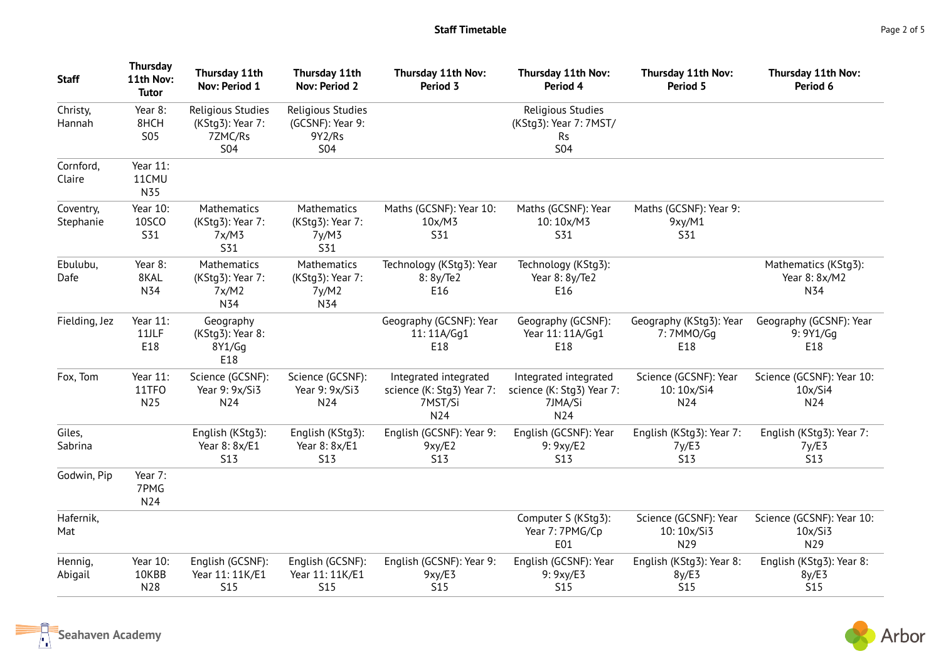| <b>Staff</b>           | <b>Thursday</b><br>11th Nov:<br><b>Tutor</b> | Thursday 11th<br>Nov: Period 1                                 | Thursday 11th<br><b>Nov: Period 2</b>                         | Thursday 11th Nov:<br>Period 3                                       | Thursday 11th Nov:<br>Period 4                                         | Thursday 11th Nov:<br>Period 5                       | Thursday 11th Nov:<br>Period 6                  |
|------------------------|----------------------------------------------|----------------------------------------------------------------|---------------------------------------------------------------|----------------------------------------------------------------------|------------------------------------------------------------------------|------------------------------------------------------|-------------------------------------------------|
| Christy,<br>Hannah     | Year 8:<br>8HCH<br><b>S05</b>                | Religious Studies<br>(KStg3): Year 7:<br>7ZMC/Rs<br><b>S04</b> | Religious Studies<br>(GCSNF): Year 9:<br>9Y2/Rs<br><b>S04</b> |                                                                      | Religious Studies<br>(KStg3): Year 7: 7MST/<br><b>Rs</b><br><b>S04</b> |                                                      |                                                 |
| Cornford,<br>Claire    | Year 11:<br>11CMU<br>N35                     |                                                                |                                                               |                                                                      |                                                                        |                                                      |                                                 |
| Coventry,<br>Stephanie | Year 10:<br><b>10SCO</b><br>S31              | Mathematics<br>(KStg3): Year 7:<br>7x/M3<br><b>S31</b>         | Mathematics<br>(KStg3): Year 7:<br>7y/M3<br><b>S31</b>        | Maths (GCSNF): Year 10:<br>10x/M3<br><b>S31</b>                      | Maths (GCSNF): Year<br>10:10x/M3<br><b>S31</b>                         | Maths (GCSNF): Year 9:<br>9xy/M1<br><b>S31</b>       |                                                 |
| Ebulubu,<br>Dafe       | Year 8:<br>8KAL<br>N34                       | Mathematics<br>(KStg3): Year 7:<br>7x/M2<br>N34                | Mathematics<br>(KStg3): Year 7:<br>7y/M2<br>N34               | Technology (KStg3): Year<br>8:8y/Te2<br>E16                          | Technology (KStg3):<br>Year 8: 8y/Te2<br>E16                           |                                                      | Mathematics (KStg3):<br>Year 8: 8x/M2<br>N34    |
| Fielding, Jez          | Year 11:<br>11JLF<br>E18                     | Geography<br>(KStg3): Year 8:<br>8Y1/Gg<br>E18                 |                                                               | Geography (GCSNF): Year<br>11:11A/Gq1<br>E18                         | Geography (GCSNF):<br>Year 11: 11A/Gq1<br>E18                          | Geography (KStg3): Year<br>7:7MM0/Gq<br>E18          | Geography (GCSNF): Year<br>9: 9Y1/Gq<br>E18     |
| Fox, Tom               | Year 11:<br>11TFO<br>N25                     | Science (GCSNF):<br>Year 9: 9x/Si3<br>N24                      | Science (GCSNF):<br>Year 9: 9x/Si3<br>N24                     | Integrated integrated<br>science (K: Stg3) Year 7:<br>7MST/Si<br>N24 | Integrated integrated<br>science (K: Stg3) Year 7:<br>7JMA/Si<br>N24   | Science (GCSNF): Year<br>10:10x/Si4<br>N24           | Science (GCSNF): Year 10:<br>10x/Si4<br>N24     |
| Giles,<br>Sabrina      |                                              | English (KStg3):<br>Year 8: 8x/E1<br><b>S13</b>                | English (KStg3):<br>Year 8: 8x/E1<br><b>S13</b>               | English (GCSNF): Year 9:<br>9xy/E2<br><b>S13</b>                     | English (GCSNF): Year<br>9: 9xy/E2<br>S <sub>13</sub>                  | English (KStg3): Year 7:<br>7y/E3<br>S <sub>13</sub> | English (KStg3): Year 7:<br>7y/E3<br><b>S13</b> |
| Godwin, Pip            | Year 7:<br>7PMG<br>N24                       |                                                                |                                                               |                                                                      |                                                                        |                                                      |                                                 |
| Hafernik,<br>Mat       |                                              |                                                                |                                                               |                                                                      | Computer S (KStg3):<br>Year 7: 7PMG/Cp<br>E01                          | Science (GCSNF): Year<br>10:10x/Si3<br>N29           | Science (GCSNF): Year 10:<br>10x/Si3<br>N29     |
| Hennig,<br>Abigail     | Year 10:<br>10KBB<br>N28                     | English (GCSNF):<br>Year 11: 11K/E1<br><b>S15</b>              | English (GCSNF):<br>Year 11: 11K/E1<br><b>S15</b>             | English (GCSNF): Year 9:<br>9xy/E3<br><b>S15</b>                     | English (GCSNF): Year<br>9: 9xy/E3<br><b>S15</b>                       | English (KStg3): Year 8:<br>8y/E3<br><b>S15</b>      | English (KStg3): Year 8:<br>8y/E3<br><b>S15</b> |

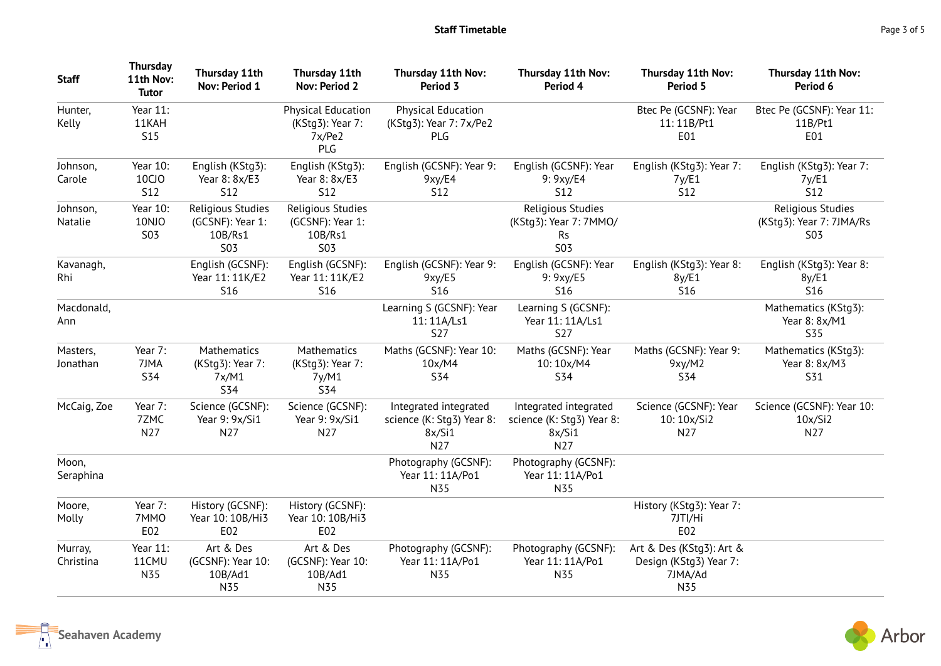| <b>Staff</b>         | <b>Thursday</b><br>11th Nov:<br><b>Tutor</b> | Thursday 11th<br>Nov: Period 1                                 | Thursday 11th<br><b>Nov: Period 2</b>                          | Thursday 11th Nov:<br>Period 3                                      | Thursday 11th Nov:<br>Period 4                                         | Thursday 11th Nov:<br>Period 5                                       | Thursday 11th Nov:<br>Period 6                              |
|----------------------|----------------------------------------------|----------------------------------------------------------------|----------------------------------------------------------------|---------------------------------------------------------------------|------------------------------------------------------------------------|----------------------------------------------------------------------|-------------------------------------------------------------|
| Hunter,<br>Kelly     | Year 11:<br>11KAH<br><b>S15</b>              |                                                                | <b>Physical Education</b><br>(KStg3): Year 7:<br>7x/Pe2<br>PLG | <b>Physical Education</b><br>(KStg3): Year 7: 7x/Pe2<br>PLG         |                                                                        | Btec Pe (GCSNF): Year<br>11:11B/Pt1<br>E01                           | Btec Pe (GCSNF): Year 11:<br>11B/Pt1<br>E01                 |
| Johnson,<br>Carole   | Year 10:<br><b>10CJO</b><br><b>S12</b>       | English (KStg3):<br>Year 8: 8x/E3<br><b>S12</b>                | English (KStg3):<br>Year 8: 8x/E3<br><b>S12</b>                | English (GCSNF): Year 9:<br>9xy/E4<br><b>S12</b>                    | English (GCSNF): Year<br>9: 9xy/E4<br>S12                              | English (KStg3): Year 7:<br>7y/E1<br>S12                             | English (KStg3): Year 7:<br>7y/E1<br><b>S12</b>             |
| Johnson,<br>Natalie  | Year 10:<br>10NJO<br><b>S03</b>              | Religious Studies<br>(GCSNF): Year 1:<br>10B/Rs1<br><b>S03</b> | Religious Studies<br>(GCSNF): Year 1:<br>10B/Rs1<br><b>S03</b> |                                                                     | Religious Studies<br>(KStg3): Year 7: 7MMO/<br><b>Rs</b><br><b>S03</b> |                                                                      | Religious Studies<br>(KStg3): Year 7: 7JMA/Rs<br><b>S03</b> |
| Kavanagh,<br>Rhi     |                                              | English (GCSNF):<br>Year 11: 11K/E2<br>S <sub>16</sub>         | English (GCSNF):<br>Year 11: 11K/E2<br>S <sub>16</sub>         | English (GCSNF): Year 9:<br>9xy/E5<br><b>S16</b>                    | English (GCSNF): Year<br>9: 9xy/E5<br><b>S16</b>                       | English (KStg3): Year 8:<br>8y/E1<br><b>S16</b>                      | English (KStg3): Year 8:<br>8y/E1<br><b>S16</b>             |
| Macdonald,<br>Ann    |                                              |                                                                |                                                                | Learning S (GCSNF): Year<br>11:11A/Ls1<br><b>S27</b>                | Learning S (GCSNF):<br>Year 11: 11A/Ls1<br><b>S27</b>                  |                                                                      | Mathematics (KStg3):<br>Year 8: 8x/M1<br><b>S35</b>         |
| Masters,<br>Jonathan | Year 7:<br>7JMA<br><b>S34</b>                | Mathematics<br>(KStg3): Year 7:<br>7x/M1<br><b>S34</b>         | Mathematics<br>(KStg3): Year 7:<br>7y/M1<br><b>S34</b>         | Maths (GCSNF): Year 10:<br>10x/M4<br><b>S34</b>                     | Maths (GCSNF): Year<br>10:10x/M4<br><b>S34</b>                         | Maths (GCSNF): Year 9:<br>9xy/M2<br><b>S34</b>                       | Mathematics (KStg3):<br>Year 8: 8x/M3<br>S31                |
| McCaig, Zoe          | Year 7:<br>7ZMC<br>N27                       | Science (GCSNF):<br>Year 9: 9x/Si1<br>N <sub>27</sub>          | Science (GCSNF):<br>Year 9: 9x/Si1<br>N27                      | Integrated integrated<br>science (K: Stg3) Year 8:<br>8x/Si1<br>N27 | Integrated integrated<br>science (K: Stg3) Year 8:<br>8x/Si1<br>N27    | Science (GCSNF): Year<br>10:10x/Si2<br>N27                           | Science (GCSNF): Year 10:<br>10x/Si2<br>N27                 |
| Moon,<br>Seraphina   |                                              |                                                                |                                                                | Photography (GCSNF):<br>Year 11: 11A/Po1<br>N35                     | Photography (GCSNF):<br>Year 11: 11A/Po1<br>N35                        |                                                                      |                                                             |
| Moore,<br>Molly      | Year 7:<br>7MMO<br>E02                       | History (GCSNF):<br>Year 10: 10B/Hi3<br>E02                    | History (GCSNF):<br>Year 10: 10B/Hi3<br>E02                    |                                                                     |                                                                        | History (KStg3): Year 7:<br>7JTI/Hi<br>E02                           |                                                             |
| Murray,<br>Christina | Year 11:<br>11CMU<br>N35                     | Art & Des<br>(GCSNF): Year 10:<br>10B/Ad1<br>N35               | Art & Des<br>(GCSNF): Year 10:<br>10B/Ad1<br>N35               | Photography (GCSNF):<br>Year 11: 11A/Po1<br>N35                     | Photography (GCSNF):<br>Year 11: 11A/Po1<br>N35                        | Art & Des (KStg3): Art &<br>Design (KStg3) Year 7:<br>7JMA/Ad<br>N35 |                                                             |



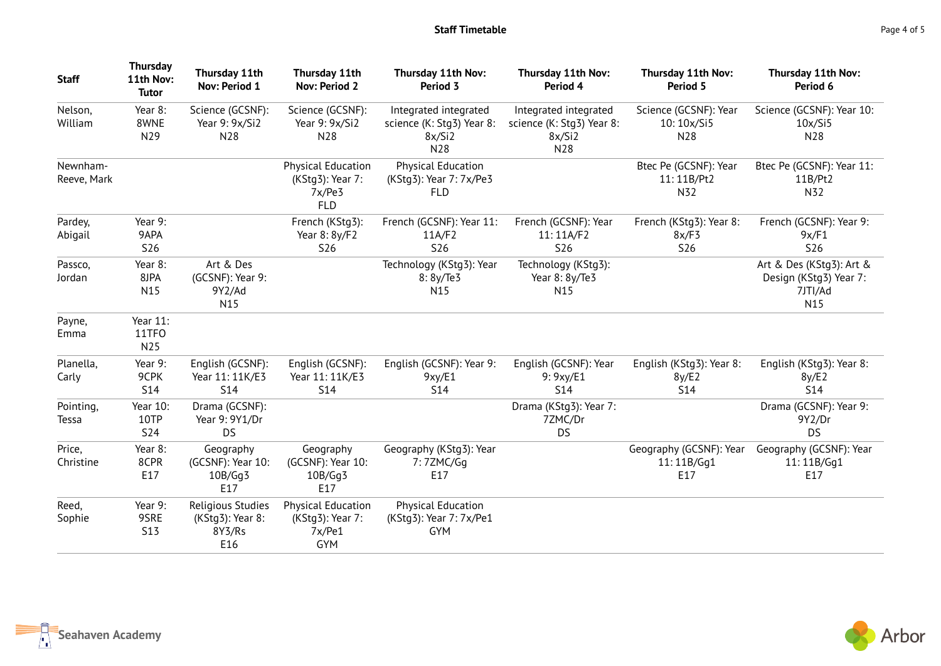| <b>Staff</b>            | <b>Thursday</b><br>11th Nov:<br><b>Tutor</b> | Thursday 11th<br>Nov: Period 1                         | Thursday 11th<br><b>Nov: Period 2</b>                                 | Thursday 11th Nov:<br>Period 3                                      | Thursday 11th Nov:<br>Period 4                                      | Thursday 11th Nov:<br>Period 5                  | Thursday 11th Nov:<br>Period 6                                       |
|-------------------------|----------------------------------------------|--------------------------------------------------------|-----------------------------------------------------------------------|---------------------------------------------------------------------|---------------------------------------------------------------------|-------------------------------------------------|----------------------------------------------------------------------|
| Nelson,<br>William      | Year 8:<br>8WNE<br>N29                       | Science (GCSNF):<br>Year 9: 9x/Si2<br>N28              | Science (GCSNF):<br>Year 9: 9x/Si2<br>N28                             | Integrated integrated<br>science (K: Stg3) Year 8:<br>8x/Si2<br>N28 | Integrated integrated<br>science (K: Stg3) Year 8:<br>8x/Si2<br>N28 | Science (GCSNF): Year<br>10:10x/Si5<br>N28      | Science (GCSNF): Year 10:<br>10x/Si5<br>N28                          |
| Newnham-<br>Reeve, Mark |                                              |                                                        | <b>Physical Education</b><br>(KStg3): Year 7:<br>7x/Pe3<br><b>FLD</b> | <b>Physical Education</b><br>(KStg3): Year 7: 7x/Pe3<br><b>FLD</b>  |                                                                     | Btec Pe (GCSNF): Year<br>11:11B/Pt2<br>N32      | Btec Pe (GCSNF): Year 11:<br>11B/Pt2<br>N32                          |
| Pardey,<br>Abigail      | Year 9:<br>9APA<br><b>S26</b>                |                                                        | French (KStq3):<br>Year 8: 8y/F2<br><b>S26</b>                        | French (GCSNF): Year 11:<br>11A/F2<br><b>S26</b>                    | French (GCSNF): Year<br>11:11A/F2<br><b>S26</b>                     | French (KStg3): Year 8:<br>8x/F3<br><b>S26</b>  | French (GCSNF): Year 9:<br>9x/F1<br><b>S26</b>                       |
| Passco,<br>Jordan       | Year 8:<br>8JPA<br>N15                       | Art & Des<br>(GCSNF): Year 9:<br>9Y2/Ad<br>N15         |                                                                       | Technology (KStg3): Year<br>8: 8y/Te3<br>N15                        | Technology (KStg3):<br>Year 8: 8y/Te3<br>N <sub>15</sub>            |                                                 | Art & Des (KStg3): Art &<br>Design (KStg3) Year 7:<br>7JTI/Ad<br>N15 |
| Payne,<br>Emma          | Year 11:<br>11TFO<br>N25                     |                                                        |                                                                       |                                                                     |                                                                     |                                                 |                                                                      |
| Planella,<br>Carly      | Year 9:<br>9CPK<br><b>S14</b>                | English (GCSNF):<br>Year 11: 11K/E3<br><b>S14</b>      | English (GCSNF):<br>Year 11: 11K/E3<br><b>S14</b>                     | English (GCSNF): Year 9:<br>9xy/E1<br><b>S14</b>                    | English (GCSNF): Year<br>9: 9xy/E1<br><b>S14</b>                    | English (KStg3): Year 8:<br>8y/E2<br><b>S14</b> | English (KStg3): Year 8:<br>8y/E2<br><b>S14</b>                      |
| Pointing,<br>Tessa      | Year 10:<br>10TP<br><b>S24</b>               | Drama (GCSNF):<br>Year 9: 9Y1/Dr<br><b>DS</b>          |                                                                       |                                                                     | Drama (KStg3): Year 7:<br>7ZMC/Dr<br><b>DS</b>                      |                                                 | Drama (GCSNF): Year 9:<br>9Y2/Dr<br><b>DS</b>                        |
| Price,<br>Christine     | Year 8:<br>8CPR<br>E17                       | Geography<br>(GCSNF): Year 10:<br>10B/Gg3<br>E17       | Geography<br>(GCSNF): Year 10:<br>10B/Gg3<br>E17                      | Geography (KStg3): Year<br>7:7ZMC/Gg<br>E17                         |                                                                     | Geography (GCSNF): Year<br>11:11B/Gg1<br>E17    | Geography (GCSNF): Year<br>11:11B/Gg1<br>E17                         |
| Reed,<br>Sophie         | Year 9:<br>9SRE<br><b>S13</b>                | Religious Studies<br>(KStg3): Year 8:<br>8Y3/Rs<br>E16 | <b>Physical Education</b><br>(KStg3): Year 7:<br>7x/Pe1<br><b>GYM</b> | <b>Physical Education</b><br>(KStg3): Year 7: 7x/Pe1<br><b>GYM</b>  |                                                                     |                                                 |                                                                      |